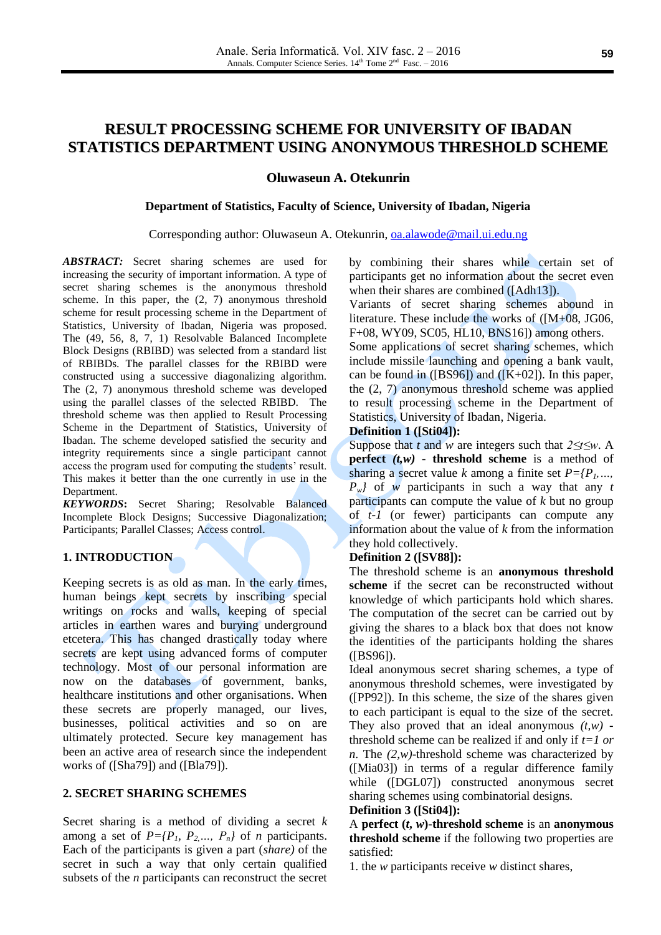# **RESULT PROCESSING SCHEME FOR UNIVERSITY OF IBADAN STATISTICS DEPARTMENT USING ANONYMOUS THRESHOLD SCHEME**

**Oluwaseun A. Otekunrin**

### **Department of Statistics, Faculty of Science, University of Ibadan, Nigeria**

### Corresponding author: Oluwaseun A. Otekunrin, [oa.alawode@mail.ui.edu.ng](mailto:oa.alawode@mail.ui.edu.ng)

*ABSTRACT:* Secret sharing schemes are used for increasing the security of important information. A type of secret sharing schemes is the anonymous threshold scheme. In this paper, the (2, 7) anonymous threshold scheme for result processing scheme in the Department of Statistics, University of Ibadan, Nigeria was proposed. The (49, 56, 8, 7, 1) Resolvable Balanced Incomplete Block Designs (RBIBD) was selected from a standard list of RBIBDs. The parallel classes for the RBIBD were constructed using a successive diagonalizing algorithm. The (2, 7) anonymous threshold scheme was developed using the parallel classes of the selected RBIBD. The threshold scheme was then applied to Result Processing Scheme in the Department of Statistics, University of Ibadan. The scheme developed satisfied the security and integrity requirements since a single participant cannot access the program used for computing the students' result. This makes it better than the one currently in use in the Department.

*KEYWORDS***:** Secret Sharing; Resolvable Balanced Incomplete Block Designs; Successive Diagonalization; Participants; Parallel Classes; Access control.

### **1. INTRODUCTION**

Keeping secrets is as old as man. In the early times, human beings kept secrets by inscribing special writings on rocks and walls, keeping of special articles in earthen wares and burying underground etcetera. This has changed drastically today where secrets are kept using advanced forms of computer technology. Most of our personal information are now on the databases of government, banks, healthcare institutions and other organisations. When these secrets are properly managed, our lives, businesses, political activities and so on are ultimately protected. Secure key management has been an active area of research since the independent works of ([Sha79]) and ([Bla79]).

### **2. SECRET SHARING SCHEMES**

Secret sharing is a method of dividing a secret *k* among a set of  $P=[P_1, P_2,..., P_n]$  of *n* participants. Each of the participants is given a part (*share)* of the secret in such a way that only certain qualified subsets of the *n* participants can reconstruct the secret by combining their shares while certain set of participants get no information about the secret even when their shares are combined ([Adh13]).

Variants of secret sharing schemes abound in literature. These include the works of ([M+08, JG06, F+08, WY09, SC05, HL10, BNS16]) among others.

Some applications of secret sharing schemes, which include missile launching and opening a bank vault, can be found in  $([BS96])$  and  $([K+02])$ . In this paper, the (2, 7) anonymous threshold scheme was applied to result processing scheme in the Department of Statistics, University of Ibadan, Nigeria.

### **Definition 1 ([Sti04]):**

Suppose that *t* and *w* are integers such that *2≤t≤w*. A **perfect** *(t,w)* **- threshold scheme** is a method of sharing a secret value *k* among a finite set  $P=fP_1$ , ... *Pw}* of *w* participants in such a way that any *t* participants can compute the value of *k* but no group of *t-1* (or fewer) participants can compute any information about the value of *k* from the information they hold collectively.

### **Definition 2 ([SV88]):**

The threshold scheme is an **anonymous threshold scheme** if the secret can be reconstructed without knowledge of which participants hold which shares. The computation of the secret can be carried out by giving the shares to a black box that does not know the identities of the participants holding the shares ([BS96]).

Ideal anonymous secret sharing schemes, a type of anonymous threshold schemes, were investigated by ([PP92]). In this scheme, the size of the shares given to each participant is equal to the size of the secret. They also proved that an ideal anonymous  $(t, w)$  threshold scheme can be realized if and only if *t=1 or n*. The *(2,w)*-threshold scheme was characterized by ([Mia03]) in terms of a regular difference family while ([DGL07]) constructed anonymous secret sharing schemes using combinatorial designs.

### **Definition 3 ([Sti04]):**

A **perfect**  $(t, w)$ -threshold scheme is an **anonymous threshold scheme** if the following two properties are satisfied:

1. the *w* participants receive *w* distinct shares,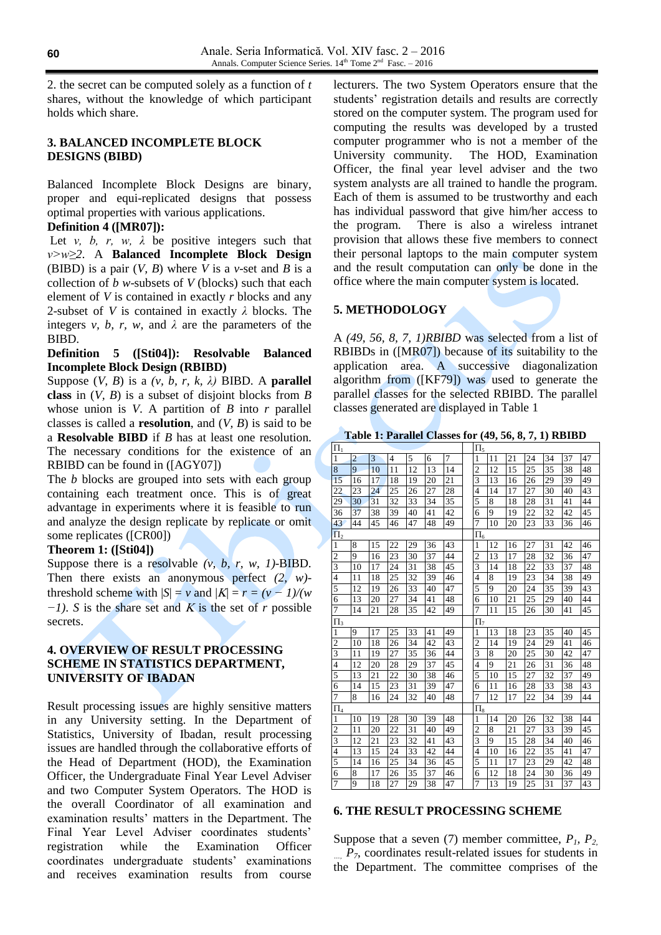2. the secret can be computed solely as a function of *t*  shares, without the knowledge of which participant holds which share.

## **3. BALANCED INCOMPLETE BLOCK DESIGNS (BIBD)**

Balanced Incomplete Block Designs are binary, proper and equi-replicated designs that possess optimal properties with various applications.

# **Definition 4 ([MR07]):**

Let *v*, *b*, *r*, *w*,  $\lambda$  be positive integers such that *v>w≥2*. A **Balanced Incomplete Block Design** (BIBD) is a pair (*V, B*) where *V* is a *v*-set and *B* is a collection of *b w*-subsets of *V* (blocks) such that each element of *V* is contained in exactly *r* blocks and any 2-subset of *V* is contained in exactly *λ* blocks. The integers *v, b, r, w,* and  $\lambda$  are the parameters of the BIBD.

### **Definition 5 ([Sti04]): Resolvable Balanced Incomplete Block Design (RBIBD)**

Suppose  $(V, B)$  is a  $(v, b, r, k, \lambda)$  BIBD. A **parallel class** in (*V, B*) is a subset of disjoint blocks from *B* whose union is *V*. A partition of *B* into *r* parallel classes is called a **resolution**, and (*V, B*) is said to be a **Resolvable BIBD** if *B* has at least one resolution. The necessary conditions for the existence of an RBIBD can be found in ([AGY07])

The *b* blocks are grouped into sets with each group containing each treatment once. This is of great advantage in experiments where it is feasible to run and analyze the design replicate by replicate or omit some replicates ([CR00])

### **Theorem 1: ([Sti04])**

Suppose there is a resolvable  $(v, b, r, w, 1)$ -BIBD. Then there exists an anonymous perfect *(2, w)* threshold scheme with  $|S| = v$  and  $|K| = r = (v - 1)/(w)$  $-I$ ). *S* is the share set and *K* is the set of *r* possible secrets.

## **4. OVERVIEW OF RESULT PROCESSING SCHEME IN STATISTICS DEPARTMENT, UNIVERSITY OF IBADAN**

Result processing issues are highly sensitive matters in any University setting. In the Department of Statistics, University of Ibadan, result processing issues are handled through the collaborative efforts of the Head of Department (HOD), the Examination Officer, the Undergraduate Final Year Level Adviser and two Computer System Operators. The HOD is the overall Coordinator of all examination and examination results' matters in the Department. The Final Year Level Adviser coordinates students' registration while the Examination Officer coordinates undergraduate students' examinations and receives examination results from course

lecturers. The two System Operators ensure that the students' registration details and results are correctly stored on the computer system. The program used for computing the results was developed by a trusted computer programmer who is not a member of the University community. The HOD, Examination Officer, the final year level adviser and the two system analysts are all trained to handle the program. Each of them is assumed to be trustworthy and each has individual password that give him/her access to the program. There is also a wireless intranet provision that allows these five members to connect their personal laptops to the main computer system and the result computation can only be done in the office where the main computer system is located.

# **5. METHODOLOGY**

A *(49, 56, 8, 7, 1)RBIBD* was selected from a list of RBIBDs in ([MR07]) because of its suitability to the application area. A successive diagonalization algorithm from ([KF79]) was used to generate the parallel classes for the selected RBIBD. The parallel classes generated are displayed in Table 1

**Table 1: Parallel Classes for (49, 56, 8, 7, 1) RBIBD**

| $\Pi_1$        |                |    |    |    |    |    |  | $\Pi_5$        |    |    |    |    |    |    |  |
|----------------|----------------|----|----|----|----|----|--|----------------|----|----|----|----|----|----|--|
| 1              | $\overline{2}$ | 3  | 4  | 5  | 6  | 7  |  | 1              | 11 | 21 | 24 | 34 | 37 | 47 |  |
| 8              | 9              | 10 | 11 | 12 | 13 | 14 |  | $\overline{2}$ | 12 | 15 | 25 | 35 | 38 | 48 |  |
| 15             | 16             | 17 | 18 | 19 | 20 | 21 |  | 3              | 13 | 16 | 26 | 29 | 39 | 49 |  |
| 22             | 23             | 24 | 25 | 26 | 27 | 28 |  | 4              | 14 | 17 | 27 | 30 | 40 | 43 |  |
| 29             | 30             | 31 | 32 | 33 | 34 | 35 |  | 5              | 8  | 18 | 28 | 31 | 41 | 44 |  |
| 36             | 37             | 38 | 39 | 40 | 41 | 42 |  | 6              | 9  | 19 | 22 | 32 | 42 | 45 |  |
| 43             | 44             | 45 | 46 | 47 | 48 | 49 |  | 7              | 10 | 20 | 23 | 33 | 36 | 46 |  |
| $\Pi_2$        |                |    |    |    |    |    |  | $\Pi_6$        |    |    |    |    |    |    |  |
| 1              | 8              | 15 | 22 | 29 | 36 | 43 |  | 1              | 12 | 16 | 27 | 31 | 42 | 46 |  |
| $\overline{c}$ | 9              | 16 | 23 | 30 | 37 | 44 |  | $\overline{2}$ | 13 | 17 | 28 | 32 | 36 | 47 |  |
| $\overline{3}$ | 10             | 17 | 24 | 31 | 38 | 45 |  | 3              | 14 | 18 | 22 | 33 | 37 | 48 |  |
| 4              | 11             | 18 | 25 | 32 | 39 | 46 |  | 4              | 8  | 19 | 23 | 34 | 38 | 49 |  |
| 5              | 12             | 19 | 26 | 33 | 40 | 47 |  | 5              | 9  | 20 | 24 | 35 | 39 | 43 |  |
| 6              | 13             | 20 | 27 | 34 | 41 | 48 |  | 6              | 10 | 21 | 25 | 29 | 40 | 44 |  |
| 7              | 14             | 21 | 28 | 35 | 42 | 49 |  | 7              | 11 | 15 | 26 | 30 | 41 | 45 |  |
| $\Pi_3$        |                |    |    |    |    |    |  | $\Pi_7$        |    |    |    |    |    |    |  |
| 1              | 9              | 17 | 25 | 33 | 41 | 49 |  | 1              | 13 | 18 | 23 | 35 | 40 | 45 |  |
| $\overline{c}$ | 10             | 18 | 26 | 34 | 42 | 43 |  | $\overline{c}$ | 14 | 19 | 24 | 29 | 41 | 46 |  |
| 3              | 11             | 19 | 27 | 35 | 36 | 44 |  | 3              | 8  | 20 | 25 | 30 | 42 | 47 |  |
| $\overline{4}$ | 12             | 20 | 28 | 29 | 37 | 45 |  | $\overline{4}$ | 9  | 21 | 26 | 31 | 36 | 48 |  |
| 5              | 13             | 21 | 22 | 30 | 38 | 46 |  | 5              | 10 | 15 | 27 | 32 | 37 | 49 |  |
| 6              | 14             | 15 | 23 | 31 | 39 | 47 |  | 6              | 11 | 16 | 28 | 33 | 38 | 43 |  |
| 7              | 8              | 16 | 24 | 32 | 40 | 48 |  | 7              | 12 | 17 | 22 | 34 | 39 | 44 |  |
| $\Pi_4$        |                |    |    |    |    |    |  | $\Pi_8$        |    |    |    |    |    |    |  |
| 1              | 10             | 19 | 28 | 30 | 39 | 48 |  | 1              | 14 | 20 | 26 | 32 | 38 | 44 |  |
| $\overline{c}$ | 11             | 20 | 22 | 31 | 40 | 49 |  | $\overline{c}$ | 8  | 21 | 27 | 33 | 39 | 45 |  |
| 3              | 12             | 21 | 23 | 32 | 41 | 43 |  | 3              | 9  | 15 | 28 | 34 | 40 | 46 |  |
| 4              | 13             | 15 | 24 | 33 | 42 | 44 |  | 4              | 10 | 16 | 22 | 35 | 41 | 47 |  |
| 5              | 14             | 16 | 25 | 34 | 36 | 45 |  | 5              | 11 | 17 | 23 | 29 | 42 | 48 |  |
| 6              | 8              | 17 | 26 | 35 | 37 | 46 |  | 6              | 12 | 18 | 24 | 30 | 36 | 49 |  |
| $\overline{7}$ | 9              | 18 | 27 | 29 | 38 | 47 |  | 7              | 13 | 19 | 25 | 31 | 37 | 43 |  |

### **6. THE RESULT PROCESSING SCHEME**

Suppose that a seven (7) member committee,  $P_1$ ,  $P_2$  $P_7$ , coordinates result-related issues for students in the Department. The committee comprises of the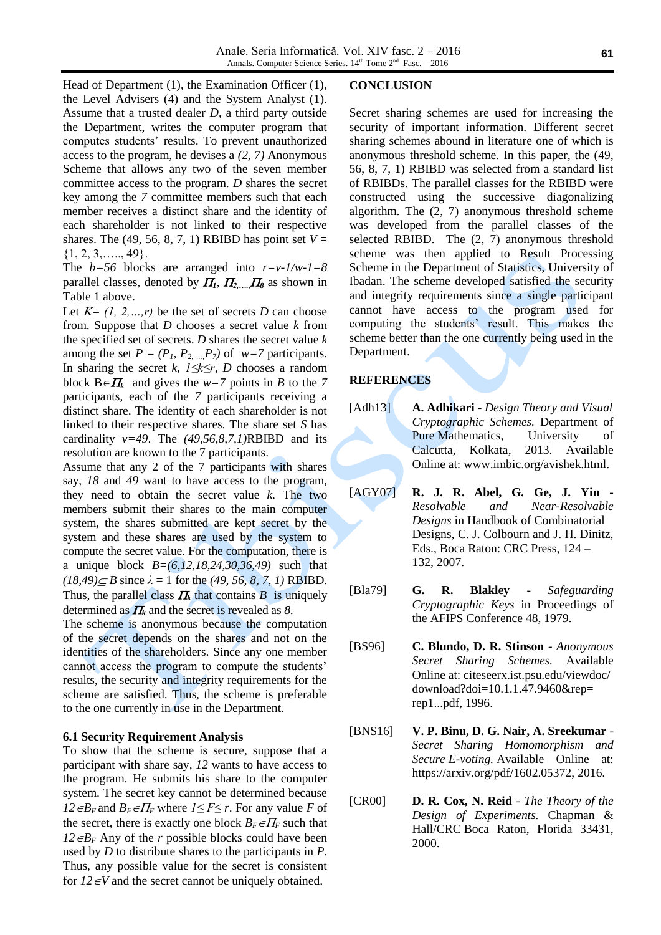Head of Department (1), the Examination Officer (1), the Level Advisers (4) and the System Analyst (1). Assume that a trusted dealer *D*, a third party outside the Department, writes the computer program that computes students' results. To prevent unauthorized access to the program, he devises a *(2, 7)* Anonymous Scheme that allows any two of the seven member committee access to the program. *D* shares the secret key among the *7* committee members such that each member receives a distinct share and the identity of each shareholder is not linked to their respective shares. The (49, 56, 8, 7, 1) RBIBD has point set  $V =$  $\{1, 2, 3, \ldots, 49\}.$ 

The *b=56* blocks are arranged into *r=v-1/w-1=8* parallel classes, denoted by  $\Pi_1$ ,  $\Pi_2$ <sub>*mm*</sub> $\Pi_8$  as shown in Table 1 above.

Let  $K = (1, 2, \ldots, r)$  be the set of secrets *D* can choose from. Suppose that *D* chooses a secret value *k* from the specified set of secrets. *D* shares the secret value *k* among the set  $P = (P_1, P_2, ..., P_7)$  of  $w=7$  participants. In sharing the secret *k*, *1≤k≤r*, *D* chooses a random block  $B \in \Pi_k$  and gives the  $w=7$  points in *B* to the 7 participants, each of the *7* participants receiving a distinct share. The identity of each shareholder is not linked to their respective shares. The share set *S* has cardinality *v=49*. The *(49,56,8,7,1)*RBIBD and its resolution are known to the 7 participants.

Assume that any 2 of the 7 participants with shares say, *18* and *49* want to have access to the program, they need to obtain the secret value *k*. The two members submit their shares to the main computer system, the shares submitted are kept secret by the system and these shares are used by the system to compute the secret value. For the computation, there is a unique block *B=(6,12,18,24,30,36,49)* such that  $(18,49) \le B$  since  $\lambda = 1$  for the *(49, 56, 8, 7, 1)* RBIBD. Thus, the parallel class  $H_k$  that contains  $B$  is uniquely determined as  $\Pi_k$  and the secret is revealed as 8.

The scheme is anonymous because the computation of the secret depends on the shares and not on the identities of the shareholders. Since any one member cannot access the program to compute the students' results, the security and integrity requirements for the scheme are satisfied. Thus, the scheme is preferable to the one currently in use in the Department.

### **6.1 Security Requirement Analysis**

To show that the scheme is secure, suppose that a participant with share say*, 12* wants to have access to the program. He submits his share to the computer system. The secret key cannot be determined because *12*  $∈B<sub>F</sub>$  and  $B<sub>F</sub> ∈ II<sub>F</sub>$  where *1* ≤ *F* ≤ *r*. For any value *F* of the secret, there is exactly one block  $B_F \in \Pi_F$  such that  $12 \epsilon B_F$  Any of the *r* possible blocks could have been used by *D* to distribute shares to the participants in *P*. Thus, any possible value for the secret is consistent for  $12 \in V$  and the secret cannot be uniquely obtained.

### **CONCLUSION**

Secret sharing schemes are used for increasing the security of important information. Different secret sharing schemes abound in literature one of which is anonymous threshold scheme. In this paper, the (49, 56, 8, 7, 1) RBIBD was selected from a standard list of RBIBDs. The parallel classes for the RBIBD were constructed using the successive diagonalizing algorithm. The (2, 7) anonymous threshold scheme was developed from the parallel classes of the selected RBIBD. The (2, 7) anonymous threshold scheme was then applied to Result Processing Scheme in the Department of Statistics, University of Ibadan. The scheme developed satisfied the security and integrity requirements since a single participant cannot have access to the program used for computing the students' result. This makes the scheme better than the one currently being used in the Department.

### **REFERENCES**

- [Adh13] **A. Adhikari** *Design Theory and Visual Cryptographic Schemes.* Department of Pure Mathematics, University of Calcutta, Kolkata, 2013. Available Online at: [www.imbic.org/avishek.html.](http://www.imbic.org/avishek.html)
- [AGY07] **R. J. R. Abel, G. Ge, J. Yin** *Resolvable and Near-Resolvable Designs* in Handbook of Combinatorial Designs, C. J. Colbourn and J. H. Dinitz, Eds., Boca Raton: CRC Press, 124 – 132, 2007.
- [Bla79] **G. R. Blakley** *Safeguarding Cryptographic Keys* in Proceedings of the AFIPS Conference 48, 1979.
- [BS96] **C. Blundo, D. R. Stinson** *Anonymous Secret Sharing Schemes.* Available Online at: citeseerx.ist.psu.edu/viewdoc/ download?doi=10.1.1.47.9460&rep= rep1...pdf, 1996.
- [BNS16] **V. P. Binu, D. G. Nair, A. Sreekumar** *Secret Sharing Homomorphism and Secure E-voting.* Available Online at: [https://arxiv.org/pdf/1602.05372,](https://arxiv.org/pdf/1602.05372) 2016.
- [CR00] **D. R. Cox, N. Reid** *The Theory of the Design of Experiments.* Chapman & Hall/CRC Boca Raton, Florida 33431, 2000.